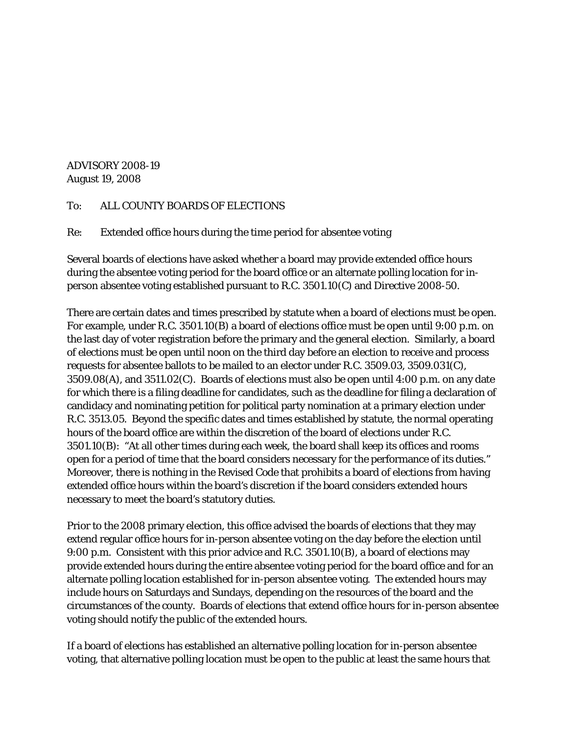ADVISORY 2008-19 August 19, 2008

To: ALL COUNTY BOARDS OF ELECTIONS

Re: Extended office hours during the time period for absentee voting

Several boards of elections have asked whether a board may provide extended office hours during the absentee voting period for the board office or an alternate polling location for inperson absentee voting established pursuant to R.C. 3501.10(C) and Directive 2008-50.

There are certain dates and times prescribed by statute when a board of elections must be open. For example, under R.C. 3501.10(B) a board of elections office must be open until 9:00 p.m. on the last day of voter registration before the primary and the general election. Similarly, a board of elections must be open until noon on the third day before an election to receive and process requests for absentee ballots to be mailed to an elector under R.C. 3509.03, 3509.031(C), 3509.08(A), and 3511.02(C). Boards of elections must also be open until 4:00 p.m. on any date for which there is a filing deadline for candidates, such as the deadline for filing a declaration of candidacy and nominating petition for political party nomination at a primary election under R.C. 3513.05. Beyond the specific dates and times established by statute, the normal operating hours of the board office are within the discretion of the board of elections under R.C. 3501.10(B): "At all other times during each week, the board shall keep its offices and rooms open for a period of time that the board considers necessary for the performance of its duties." Moreover, there is nothing in the Revised Code that prohibits a board of elections from having extended office hours within the board's discretion if the board considers extended hours necessary to meet the board's statutory duties.

Prior to the 2008 primary election, this office advised the boards of elections that they may extend regular office hours for in-person absentee voting on the day before the election until 9:00 p.m. Consistent with this prior advice and R.C. 3501.10(B), a board of elections may provide extended hours during the entire absentee voting period for the board office and for an alternate polling location established for in-person absentee voting. The extended hours may include hours on Saturdays and Sundays, depending on the resources of the board and the circumstances of the county. Boards of elections that extend office hours for in-person absentee voting should notify the public of the extended hours.

If a board of elections has established an alternative polling location for in-person absentee voting, that alternative polling location must be open to the public at least the same hours that